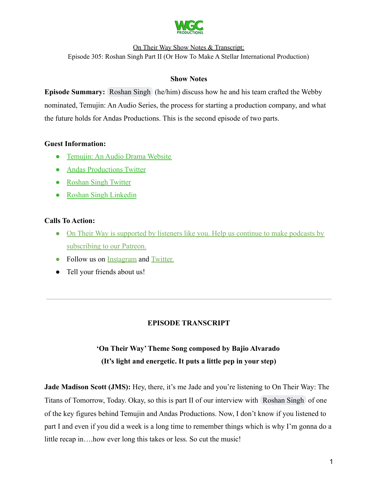

On Their Way Show Notes & Transcript:

Episode 305: Roshan Singh Part II (Or How To Make A Stellar International Production)

# **Show Notes**

**Episode Summary:** [Roshan Singh](mailto:info@roshansinghsambhi.com) (he/him) discuss how he and his team crafted the Webby nominated, Temujin: An Audio Series, the process for starting a production company, and what the future holds for Andas Productions. This is the second episode of two parts.

# **Guest Information:**

- [Temujin: An Audio Drama Website](https://www.temujindrama.com/)
- [Andas Productions Twitter](https://twitter.com/andasmedia)
- [Roshan Singh Twitter](https://twitter.com/Roshan_Singh_S)
- [Roshan Singh Linkedin](https://www.linkedin.com/in/roshansinghsambhi/)

# **Calls To Action:**

- [On Their Way is supported by listeners like you. Help us continue to make podcasts by](https://www.patreon.com/withgoodco) [subscribing to our Patreon.](https://www.patreon.com/withgoodco)
- Follow us on [Instagram](https://www.instagram.com/withgoodco/) and [Twitter.](https://twitter.com/WithGoodCo)
- Tell your friends about us!

# **EPISODE TRANSCRIPT**

# **'On Their Way'Theme Song composed by Bajio Alvarado (It's light and energetic. It puts a little pep in your step)**

**Jade Madison Scott (JMS):** Hey, there, it's me Jade and you're listening to On Their Way: The Titans of Tomorrow, Today. Okay, so this is part II of our interview with [Roshan Singh](mailto:info@roshansinghsambhi.com) of one of the key figures behind Temujin and Andas Productions. Now, I don't know if you listened to part I and even if you did a week is a long time to remember things which is why I'm gonna do a little recap in….how ever long this takes or less. So cut the music!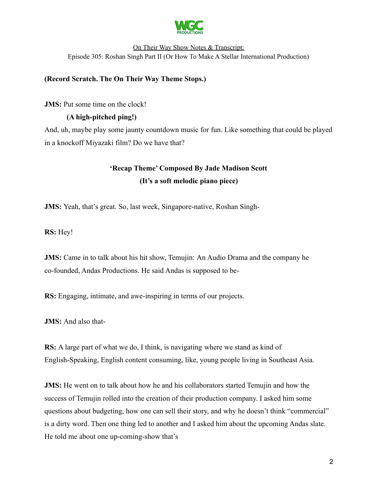

# **(Record Scratch. The On Their Way Theme Stops.)**

**JMS:** Put some time on the clock!

# **(A high-pitched ping!)**

And, uh, maybe play some jaunty countdown music for fun. Like something that could be played in a knockoff Miyazaki film? Do we have that?

# **'Recap Theme' Composed By Jade Madison Scott (It's a soft melodic piano piece)**

**JMS:** Yeah, that's great. So, last week, Singapore-native, Roshan Singh-

**RS:** Hey!

**JMS:** Came in to talk about his hit show, Temujin: An Audio Drama and the company he co-founded, Andas Productions. He said Andas is supposed to be-

**RS:** Engaging, intimate, and awe-inspiring in terms of our projects.

**JMS:** And also that-

**RS:** A large part of what we do, I think, is navigating where we stand as kind of English-Speaking, English content consuming, like, young people living in Southeast Asia.

**JMS:** He went on to talk about how he and his collaborators started Temujin and how the success of Temujin rolled into the creation of their production company. I asked him some questions about budgeting, how one can sell their story, and why he doesn't think "commercial" is a dirty word. Then one thing led to another and I asked him about the upcoming Andas slate. He told me about one up-coming-show that's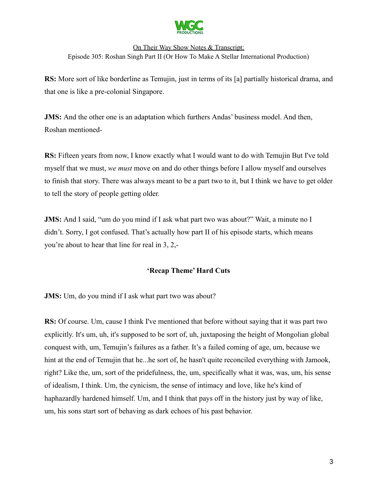

**RS:** More sort of like borderline as Temujin, just in terms of its [a] partially historical drama, and that one is like a pre-colonial Singapore.

**JMS:** And the other one is an adaptation which furthers Andas' business model. And then, Roshan mentioned-

**RS:** Fifteen years from now, I know exactly what I would want to do with Temujin But I've told myself that we must, *we must* move on and do other things before I allow myself and ourselves to finish that story. There was always meant to be a part two to it, but I think we have to get older to tell the story of people getting older.

**JMS:** And I said, "um do you mind if I ask what part two was about?" Wait, a minute no I didn't. Sorry, I got confused. That's actually how part II of his episode starts, which means you're about to hear that line for real in 3, 2,-

# **'Recap Theme' Hard Cuts**

**JMS:** Um, do you mind if I ask what part two was about?

**RS:** Of course. Um, cause I think I've mentioned that before without saying that it was part two explicitly. It's um, uh, it's supposed to be sort of, uh, juxtaposing the height of Mongolian global conquest with, um, Temujin's failures as a father. It's a failed coming of age, um, because we hint at the end of Temujin that he...he sort of, he hasn't quite reconciled everything with Jamook, right? Like the, um, sort of the pridefulness, the, um, specifically what it was, was, um, his sense of idealism, I think. Um, the cynicism, the sense of intimacy and love, like he's kind of haphazardly hardened himself. Um, and I think that pays off in the history just by way of like, um, his sons start sort of behaving as dark echoes of his past behavior.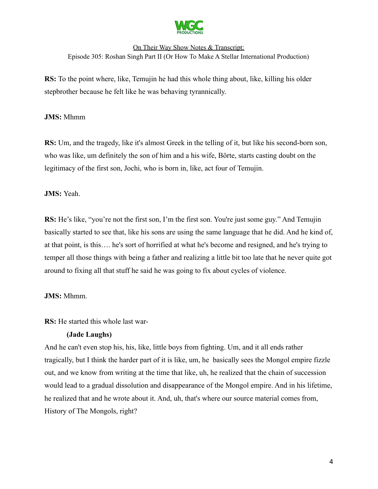

**RS:** To the point where, like, Temujin he had this whole thing about, like, killing his older stepbrother because he felt like he was behaving tyrannically.

#### **JMS:** Mhmm

**RS:** Um, and the tragedy, like it's almost Greek in the telling of it, but like his second-born son, who was like, um definitely the son of him and a his wife, Börte, starts casting doubt on the legitimacy of the first son, Jochi, who is born in, like, act four of Temujin.

#### **JMS:** Yeah.

**RS:** He's like, "you're not the first son, I'm the first son. You're just some guy." And Temujin basically started to see that, like his sons are using the same language that he did. And he kind of, at that point, is this…. he's sort of horrified at what he's become and resigned, and he's trying to temper all those things with being a father and realizing a little bit too late that he never quite got around to fixing all that stuff he said he was going to fix about cycles of violence.

#### **JMS:** Mhmm.

**RS:** He started this whole last war-

# **(Jade Laughs)**

And he can't even stop his, his, like, little boys from fighting. Um, and it all ends rather tragically, but I think the harder part of it is like, um, he basically sees the Mongol empire fizzle out, and we know from writing at the time that like, uh, he realized that the chain of succession would lead to a gradual dissolution and disappearance of the Mongol empire. And in his lifetime, he realized that and he wrote about it. And, uh, that's where our source material comes from, History of The Mongols, right?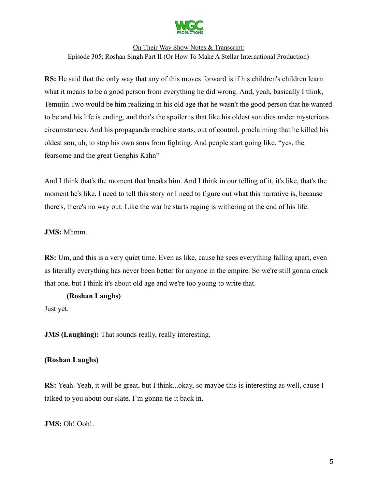

**RS:** He said that the only way that any of this moves forward is if his children's children learn what it means to be a good person from everything he did wrong. And, yeah, basically I think, Temujin Two would be him realizing in his old age that he wasn't the good person that he wanted to be and his life is ending, and that's the spoiler is that like his oldest son dies under mysterious circumstances. And his propaganda machine starts, out of control, proclaiming that he killed his oldest son, uh, to stop his own sons from fighting. And people start going like, "yes, the fearsome and the great Genghis Kahn"

And I think that's the moment that breaks him. And I think in our telling of it, it's like, that's the moment he's like, I need to tell this story or I need to figure out what this narrative is, because there's, there's no way out. Like the war he starts raging is withering at the end of his life.

**JMS:** Mhmm.

**RS:** Um, and this is a very quiet time. Even as like, cause he sees everything falling apart, even as literally everything has never been better for anyone in the empire. So we're still gonna crack that one, but I think it's about old age and we're too young to write that.

#### **(Roshan Laughs)**

Just yet.

**JMS (Laughing):** That sounds really, really interesting.

# **(Roshan Laughs)**

**RS:** Yeah. Yeah, it will be great, but I think...okay, so maybe this is interesting as well, cause I talked to you about our slate. I'm gonna tie it back in.

**JMS:** Oh! Ooh!.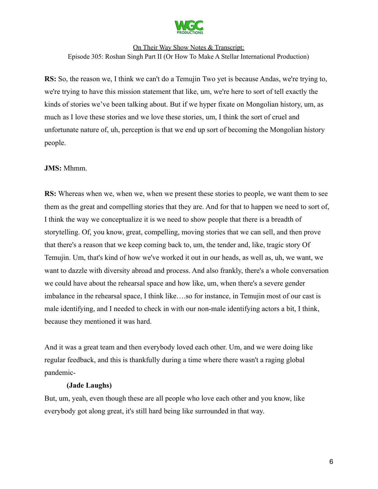

**RS:** So, the reason we, I think we can't do a Temujin Two yet is because Andas, we're trying to, we're trying to have this mission statement that like, um, we're here to sort of tell exactly the kinds of stories we've been talking about. But if we hyper fixate on Mongolian history, um, as much as I love these stories and we love these stories, um, I think the sort of cruel and unfortunate nature of, uh, perception is that we end up sort of becoming the Mongolian history people.

# **JMS:** Mhmm.

**RS:** Whereas when we, when we, when we present these stories to people, we want them to see them as the great and compelling stories that they are. And for that to happen we need to sort of, I think the way we conceptualize it is we need to show people that there is a breadth of storytelling. Of, you know, great, compelling, moving stories that we can sell, and then prove that there's a reason that we keep coming back to, um, the tender and, like, tragic story Of Temujin. Um, that's kind of how we've worked it out in our heads, as well as, uh, we want, we want to dazzle with diversity abroad and process. And also frankly, there's a whole conversation we could have about the rehearsal space and how like, um, when there's a severe gender imbalance in the rehearsal space, I think like….so for instance, in Temujin most of our cast is male identifying, and I needed to check in with our non-male identifying actors a bit, I think, because they mentioned it was hard.

And it was a great team and then everybody loved each other. Um, and we were doing like regular feedback, and this is thankfully during a time where there wasn't a raging global pandemic-

#### **(Jade Laughs)**

But, um, yeah, even though these are all people who love each other and you know, like everybody got along great, it's still hard being like surrounded in that way.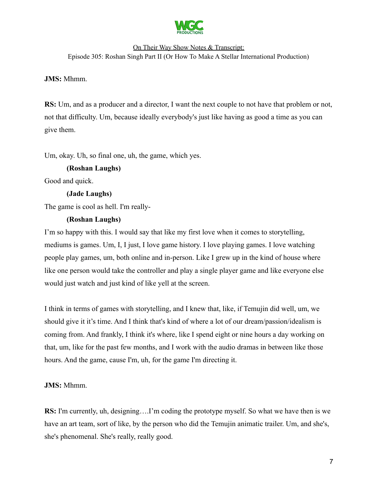

# On Their Way Show Notes & Transcript:

Episode 305: Roshan Singh Part II (Or How To Make A Stellar International Production)

# **JMS:** Mhmm.

**RS:** Um, and as a producer and a director, I want the next couple to not have that problem or not, not that difficulty. Um, because ideally everybody's just like having as good a time as you can give them.

Um, okay. Uh, so final one, uh, the game, which yes.

# **(Roshan Laughs)**

Good and quick.

# **(Jade Laughs)**

The game is cool as hell. I'm really-

# **(Roshan Laughs)**

I'm so happy with this. I would say that like my first love when it comes to storytelling, mediums is games. Um, I, I just, I love game history. I love playing games. I love watching people play games, um, both online and in-person. Like I grew up in the kind of house where like one person would take the controller and play a single player game and like everyone else would just watch and just kind of like yell at the screen.

I think in terms of games with storytelling, and I knew that, like, if Temujin did well, um, we should give it it's time. And I think that's kind of where a lot of our dream/passion/idealism is coming from. And frankly, I think it's where, like I spend eight or nine hours a day working on that, um, like for the past few months, and I work with the audio dramas in between like those hours. And the game, cause I'm, uh, for the game I'm directing it.

# **JMS:** Mhmm.

**RS:** I'm currently, uh, designing….I'm coding the prototype myself. So what we have then is we have an art team, sort of like, by the person who did the Temujin animatic trailer. Um, and she's, she's phenomenal. She's really, really good.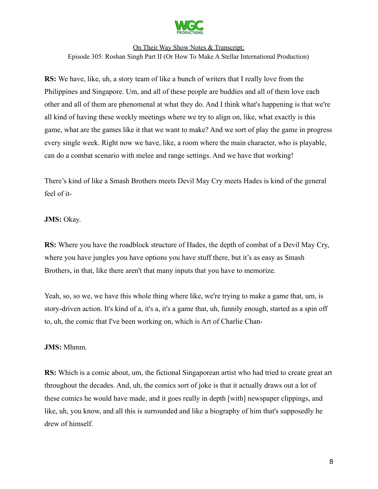

**RS:** We have, like, uh, a story team of like a bunch of writers that I really love from the Philippines and Singapore. Um, and all of these people are buddies and all of them love each other and all of them are phenomenal at what they do. And I think what's happening is that we're all kind of having these weekly meetings where we try to align on, like, what exactly is this game, what are the games like it that we want to make? And we sort of play the game in progress every single week. Right now we have, like, a room where the main character, who is playable, can do a combat scenario with melee and range settings. And we have that working!

There's kind of like a Smash Brothers meets Devil May Cry meets Hades is kind of the general feel of it-

#### **JMS:** Okay.

**RS:** Where you have the roadblock structure of Hades, the depth of combat of a Devil May Cry, where you have jungles you have options you have stuff there, but it's as easy as Smash Brothers, in that, like there aren't that many inputs that you have to memorize.

Yeah, so, so we, we have this whole thing where like, we're trying to make a game that, um, is story-driven action. It's kind of a, it's a, it's a game that, uh, funnily enough, started as a spin off to, uh, the comic that I've been working on, which is Art of Charlie Chan-

#### **JMS:** Mhmm.

**RS:** Which is a comic about, um, the fictional Singaporean artist who had tried to create great art throughout the decades. And, uh, the comics sort of joke is that it actually draws out a lot of these comics he would have made, and it goes really in depth [with] newspaper clippings, and like, uh, you know, and all this is surrounded and like a biography of him that's supposedly he drew of himself.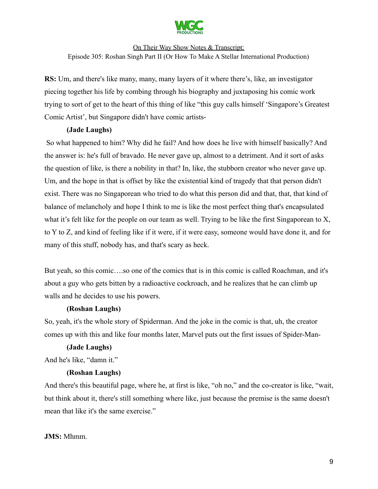

**RS:** Um, and there's like many, many, many layers of it where there's, like, an investigator piecing together his life by combing through his biography and juxtaposing his comic work trying to sort of get to the heart of this thing of like "this guy calls himself 'Singapore's Greatest Comic Artist', but Singapore didn't have comic artists-

# **(Jade Laughs)**

So what happened to him? Why did he fail? And how does he live with himself basically? And the answer is: he's full of bravado. He never gave up, almost to a detriment. And it sort of asks the question of like, is there a nobility in that? In, like, the stubborn creator who never gave up. Um, and the hope in that is offset by like the existential kind of tragedy that that person didn't exist. There was no Singaporean who tried to do what this person did and that, that, that kind of balance of melancholy and hope I think to me is like the most perfect thing that's encapsulated what it's felt like for the people on our team as well. Trying to be like the first Singaporean to X, to Y to Z, and kind of feeling like if it were, if it were easy, someone would have done it, and for many of this stuff, nobody has, and that's scary as heck.

But yeah, so this comic….so one of the comics that is in this comic is called Roachman, and it's about a guy who gets bitten by a radioactive cockroach, and he realizes that he can climb up walls and he decides to use his powers.

# **(Roshan Laughs)**

So, yeah, it's the whole story of Spiderman. And the joke in the comic is that, uh, the creator comes up with this and like four months later, Marvel puts out the first issues of Spider-Man-

# **(Jade Laughs)**

And he's like, "damn it."

# **(Roshan Laughs)**

And there's this beautiful page, where he, at first is like, "oh no," and the co-creator is like, "wait, but think about it, there's still something where like, just because the premise is the same doesn't mean that like it's the same exercise."

# **JMS:** Mhmm.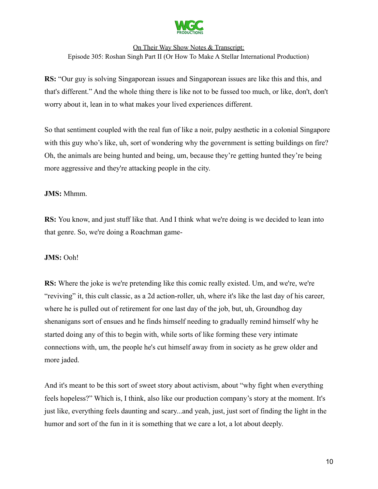

**RS:** "Our guy is solving Singaporean issues and Singaporean issues are like this and this, and that's different." And the whole thing there is like not to be fussed too much, or like, don't, don't worry about it, lean in to what makes your lived experiences different.

So that sentiment coupled with the real fun of like a noir, pulpy aesthetic in a colonial Singapore with this guy who's like, uh, sort of wondering why the government is setting buildings on fire? Oh, the animals are being hunted and being, um, because they're getting hunted they're being more aggressive and they're attacking people in the city.

# **JMS:** Mhmm.

**RS:** You know, and just stuff like that. And I think what we're doing is we decided to lean into that genre. So, we're doing a Roachman game-

# **JMS:** Ooh!

**RS:** Where the joke is we're pretending like this comic really existed. Um, and we're, we're "reviving" it, this cult classic, as a 2d action-roller, uh, where it's like the last day of his career, where he is pulled out of retirement for one last day of the job, but, uh, Groundhog day shenanigans sort of ensues and he finds himself needing to gradually remind himself why he started doing any of this to begin with, while sorts of like forming these very intimate connections with, um, the people he's cut himself away from in society as he grew older and more jaded.

And it's meant to be this sort of sweet story about activism, about "why fight when everything feels hopeless?" Which is, I think, also like our production company's story at the moment. It's just like, everything feels daunting and scary...and yeah, just, just sort of finding the light in the humor and sort of the fun in it is something that we care a lot, a lot about deeply.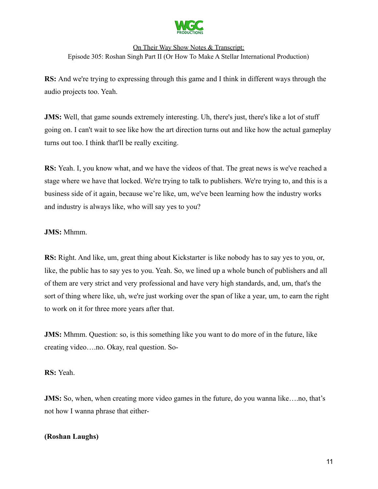

**RS:** And we're trying to expressing through this game and I think in different ways through the audio projects too. Yeah.

**JMS:** Well, that game sounds extremely interesting. Uh, there's just, there's like a lot of stuff going on. I can't wait to see like how the art direction turns out and like how the actual gameplay turns out too. I think that'll be really exciting.

**RS:** Yeah. I, you know what, and we have the videos of that. The great news is we've reached a stage where we have that locked. We're trying to talk to publishers. We're trying to, and this is a business side of it again, because we're like, um, we've been learning how the industry works and industry is always like, who will say yes to you?

# **JMS:** Mhmm.

**RS:** Right. And like, um, great thing about Kickstarter is like nobody has to say yes to you, or, like, the public has to say yes to you. Yeah. So, we lined up a whole bunch of publishers and all of them are very strict and very professional and have very high standards, and, um, that's the sort of thing where like, uh, we're just working over the span of like a year, um, to earn the right to work on it for three more years after that.

**JMS:** Mhmm. Question: so, is this something like you want to do more of in the future, like creating video….no. Okay, real question. So-

**RS:** Yeah.

**JMS:** So, when, when creating more video games in the future, do you wanna like….no, that's not how I wanna phrase that either-

# **(Roshan Laughs)**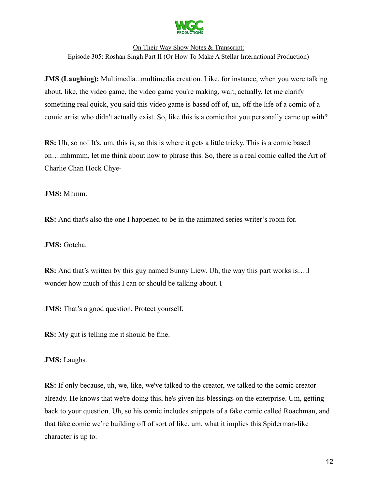

**JMS (Laughing):** Multimedia...multimedia creation. Like, for instance, when you were talking about, like, the video game, the video game you're making, wait, actually, let me clarify something real quick, you said this video game is based off of, uh, off the life of a comic of a comic artist who didn't actually exist. So, like this is a comic that you personally came up with?

**RS:** Uh, so no! It's, um, this is, so this is where it gets a little tricky. This is a comic based on….mhmmm, let me think about how to phrase this. So, there is a real comic called the Art of Charlie Chan Hock Chye-

**JMS:** Mhmm.

**RS:** And that's also the one I happened to be in the animated series writer's room for.

**JMS:** Gotcha.

**RS:** And that's written by this guy named Sunny Liew. Uh, the way this part works is….I wonder how much of this I can or should be talking about. I

**JMS:** That's a good question. Protect yourself.

**RS:** My gut is telling me it should be fine.

**JMS:** Laughs.

**RS:** If only because, uh, we, like, we've talked to the creator, we talked to the comic creator already. He knows that we're doing this, he's given his blessings on the enterprise. Um, getting back to your question. Uh, so his comic includes snippets of a fake comic called Roachman, and that fake comic we're building off of sort of like, um, what it implies this Spiderman-like character is up to.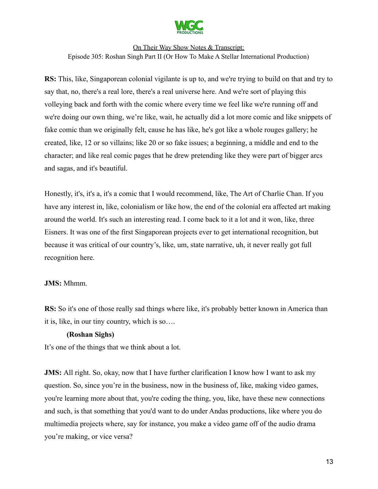

**RS:** This, like, Singaporean colonial vigilante is up to, and we're trying to build on that and try to say that, no, there's a real lore, there's a real universe here. And we're sort of playing this volleying back and forth with the comic where every time we feel like we're running off and we're doing our own thing, we're like, wait, he actually did a lot more comic and like snippets of fake comic than we originally felt, cause he has like, he's got like a whole rouges gallery; he created, like, 12 or so villains; like 20 or so fake issues; a beginning, a middle and end to the character; and like real comic pages that he drew pretending like they were part of bigger arcs and sagas, and it's beautiful.

Honestly, it's, it's a, it's a comic that I would recommend, like, The Art of Charlie Chan. If you have any interest in, like, colonialism or like how, the end of the colonial era affected art making around the world. It's such an interesting read. I come back to it a lot and it won, like, three Eisners. It was one of the first Singaporean projects ever to get international recognition, but because it was critical of our country's, like, um, state narrative, uh, it never really got full recognition here.

#### **JMS:** Mhmm.

**RS:** So it's one of those really sad things where like, it's probably better known in America than it is, like, in our tiny country, which is so….

#### **(Roshan Sighs)**

It's one of the things that we think about a lot.

**JMS:** All right. So, okay, now that I have further clarification I know how I want to ask my question. So, since you're in the business, now in the business of, like, making video games, you're learning more about that, you're coding the thing, you, like, have these new connections and such, is that something that you'd want to do under Andas productions, like where you do multimedia projects where, say for instance, you make a video game off of the audio drama you're making, or vice versa?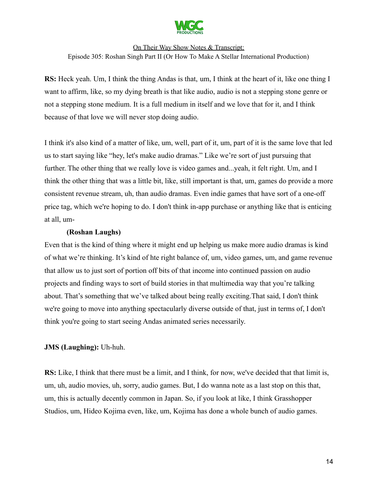

**RS:** Heck yeah. Um, I think the thing Andas is that, um, I think at the heart of it, like one thing I want to affirm, like, so my dying breath is that like audio, audio is not a stepping stone genre or not a stepping stone medium. It is a full medium in itself and we love that for it, and I think because of that love we will never stop doing audio.

I think it's also kind of a matter of like, um, well, part of it, um, part of it is the same love that led us to start saying like "hey, let's make audio dramas." Like we're sort of just pursuing that further. The other thing that we really love is video games and...yeah, it felt right. Um, and I think the other thing that was a little bit, like, still important is that, um, games do provide a more consistent revenue stream, uh, than audio dramas. Even indie games that have sort of a one-off price tag, which we're hoping to do. I don't think in-app purchase or anything like that is enticing at all, um-

#### **(Roshan Laughs)**

Even that is the kind of thing where it might end up helping us make more audio dramas is kind of what we're thinking. It's kind of hte right balance of, um, video games, um, and game revenue that allow us to just sort of portion off bits of that income into continued passion on audio projects and finding ways to sort of build stories in that multimedia way that you're talking about. That's something that we've talked about being really exciting.That said, I don't think we're going to move into anything spectacularly diverse outside of that, just in terms of, I don't think you're going to start seeing Andas animated series necessarily.

# **JMS (Laughing):** Uh-huh.

**RS:** Like, I think that there must be a limit, and I think, for now, we've decided that that limit is, um, uh, audio movies, uh, sorry, audio games. But, I do wanna note as a last stop on this that, um, this is actually decently common in Japan. So, if you look at like, I think Grasshopper Studios, um, Hideo Kojima even, like, um, Kojima has done a whole bunch of audio games.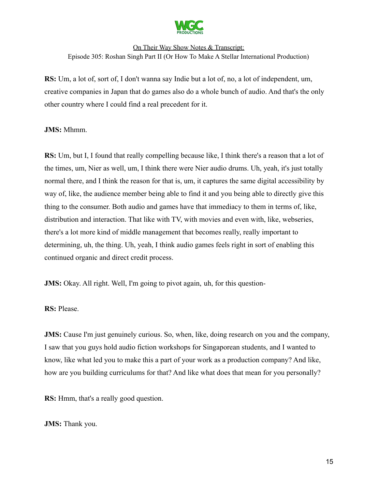

**RS:** Um, a lot of, sort of, I don't wanna say Indie but a lot of, no, a lot of independent, um, creative companies in Japan that do games also do a whole bunch of audio. And that's the only other country where I could find a real precedent for it.

#### **JMS:** Mhmm.

**RS:** Um, but I, I found that really compelling because like, I think there's a reason that a lot of the times, um, Nier as well, um, I think there were Nier audio drums. Uh, yeah, it's just totally normal there, and I think the reason for that is, um, it captures the same digital accessibility by way of, like, the audience member being able to find it and you being able to directly give this thing to the consumer. Both audio and games have that immediacy to them in terms of, like, distribution and interaction. That like with TV, with movies and even with, like, webseries, there's a lot more kind of middle management that becomes really, really important to determining, uh, the thing. Uh, yeah, I think audio games feels right in sort of enabling this continued organic and direct credit process.

**JMS:** Okay. All right. Well, I'm going to pivot again, uh, for this question-

#### **RS:** Please.

**JMS:** Cause I'm just genuinely curious. So, when, like, doing research on you and the company, I saw that you guys hold audio fiction workshops for Singaporean students, and I wanted to know, like what led you to make this a part of your work as a production company? And like, how are you building curriculums for that? And like what does that mean for you personally?

**RS:** Hmm, that's a really good question.

#### **JMS:** Thank you.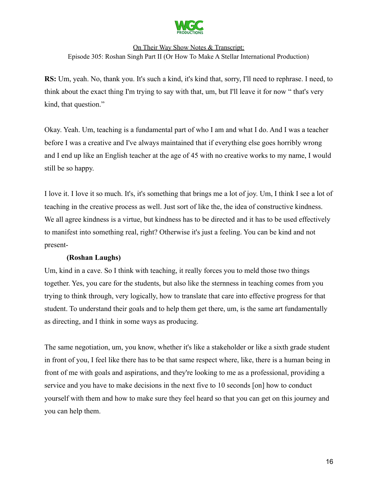

**RS:** Um, yeah. No, thank you. It's such a kind, it's kind that, sorry, I'll need to rephrase. I need, to think about the exact thing I'm trying to say with that, um, but I'll leave it for now " that's very kind, that question."

Okay. Yeah. Um, teaching is a fundamental part of who I am and what I do. And I was a teacher before I was a creative and I've always maintained that if everything else goes horribly wrong and I end up like an English teacher at the age of 45 with no creative works to my name, I would still be so happy.

I love it. I love it so much. It's, it's something that brings me a lot of joy. Um, I think I see a lot of teaching in the creative process as well. Just sort of like the, the idea of constructive kindness. We all agree kindness is a virtue, but kindness has to be directed and it has to be used effectively to manifest into something real, right? Otherwise it's just a feeling. You can be kind and not present-

# **(Roshan Laughs)**

Um, kind in a cave. So I think with teaching, it really forces you to meld those two things together. Yes, you care for the students, but also like the sternness in teaching comes from you trying to think through, very logically, how to translate that care into effective progress for that student. To understand their goals and to help them get there, um, is the same art fundamentally as directing, and I think in some ways as producing.

The same negotiation, um, you know, whether it's like a stakeholder or like a sixth grade student in front of you, I feel like there has to be that same respect where, like, there is a human being in front of me with goals and aspirations, and they're looking to me as a professional, providing a service and you have to make decisions in the next five to 10 seconds [on] how to conduct yourself with them and how to make sure they feel heard so that you can get on this journey and you can help them.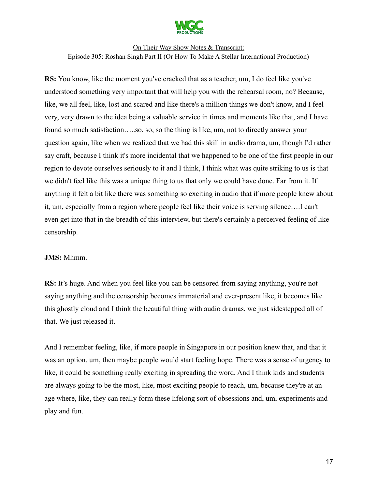

**RS:** You know, like the moment you've cracked that as a teacher, um, I do feel like you've understood something very important that will help you with the rehearsal room, no? Because, like, we all feel, like, lost and scared and like there's a million things we don't know, and I feel very, very drawn to the idea being a valuable service in times and moments like that, and I have found so much satisfaction…..so, so, so the thing is like, um, not to directly answer your question again, like when we realized that we had this skill in audio drama, um, though I'd rather say craft, because I think it's more incidental that we happened to be one of the first people in our region to devote ourselves seriously to it and I think, I think what was quite striking to us is that we didn't feel like this was a unique thing to us that only we could have done. Far from it. If anything it felt a bit like there was something so exciting in audio that if more people knew about it, um, especially from a region where people feel like their voice is serving silence….I can't even get into that in the breadth of this interview, but there's certainly a perceived feeling of like censorship.

#### **JMS:** Mhmm.

**RS:** It's huge. And when you feel like you can be censored from saying anything, you're not saying anything and the censorship becomes immaterial and ever-present like, it becomes like this ghostly cloud and I think the beautiful thing with audio dramas, we just sidestepped all of that. We just released it.

And I remember feeling, like, if more people in Singapore in our position knew that, and that it was an option, um, then maybe people would start feeling hope. There was a sense of urgency to like, it could be something really exciting in spreading the word. And I think kids and students are always going to be the most, like, most exciting people to reach, um, because they're at an age where, like, they can really form these lifelong sort of obsessions and, um, experiments and play and fun.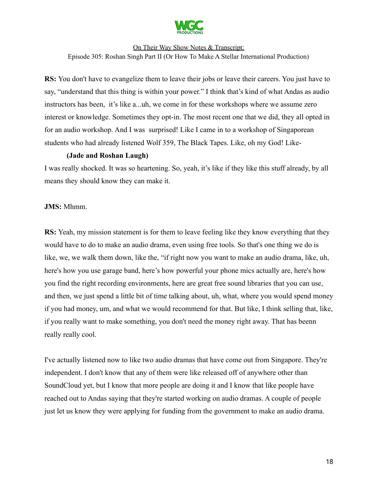

**RS:** You don't have to evangelize them to leave their jobs or leave their careers. You just have to say, "understand that this thing is within your power." I think that's kind of what Andas as audio instructors has been, it's like a...uh, we come in for these workshops where we assume zero interest or knowledge. Sometimes they opt-in. The most recent one that we did, they all opted in for an audio workshop. And I was surprised! Like I came in to a workshop of Singaporean students who had already listened Wolf 359, The Black Tapes. Like, oh my God! Like-

#### **(Jade and Roshan Laugh)**

I was really shocked. It was so heartening. So, yeah, it's like if they like this stuff already, by all means they should know they can make it.

#### **JMS:** Mhmm.

**RS:** Yeah, my mission statement is for them to leave feeling like they know everything that they would have to do to make an audio drama, even using free tools. So that's one thing we do is like, we, we walk them down, like the, "if right now you want to make an audio drama, like, uh, here's how you use garage band, here's how powerful your phone mics actually are, here's how you find the right recording environments, here are great free sound libraries that you can use, and then, we just spend a little bit of time talking about, uh, what, where you would spend money if you had money, um, and what we would recommend for that. But like, I think selling that, like, if you really want to make something, you don't need the money right away. That has beenn really really cool.

I've actually listened now to like two audio dramas that have come out from Singapore. They're independent. I don't know that any of them were like released off of anywhere other than SoundCloud yet, but I know that more people are doing it and I know that like people have reached out to Andas saying that they're started working on audio dramas. A couple of people just let us know they were applying for funding from the government to make an audio drama.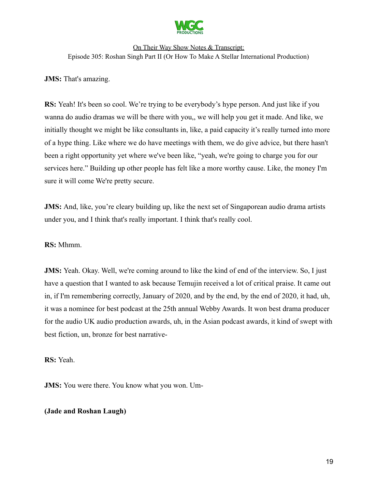

# **JMS:** That's amazing.

**RS:** Yeah! It's been so cool. We're trying to be everybody's hype person. And just like if you wanna do audio dramas we will be there with you,, we will help you get it made. And like, we initially thought we might be like consultants in, like, a paid capacity it's really turned into more of a hype thing. Like where we do have meetings with them, we do give advice, but there hasn't been a right opportunity yet where we've been like, "yeah, we're going to charge you for our services here." Building up other people has felt like a more worthy cause. Like, the money I'm sure it will come We're pretty secure.

**JMS:** And, like, you're cleary building up, like the next set of Singaporean audio drama artists under you, and I think that's really important. I think that's really cool.

#### **RS:** Mhmm.

**JMS:** Yeah. Okay. Well, we're coming around to like the kind of end of the interview. So, I just have a question that I wanted to ask because Temujin received a lot of critical praise. It came out in, if I'm remembering correctly, January of 2020, and by the end, by the end of 2020, it had, uh, it was a nominee for best podcast at the 25th annual Webby Awards. It won best drama producer for the audio UK audio production awards, uh, in the Asian podcast awards, it kind of swept with best fiction, un, bronze for best narrative-

**RS:** Yeah.

**JMS:** You were there. You know what you won. Um-

#### **(Jade and Roshan Laugh)**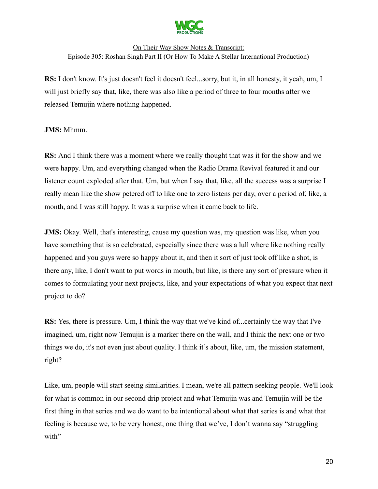

**RS:** I don't know. It's just doesn't feel it doesn't feel...sorry, but it, in all honesty, it yeah, um, I will just briefly say that, like, there was also like a period of three to four months after we released Temujin where nothing happened.

**JMS:** Mhmm.

**RS:** And I think there was a moment where we really thought that was it for the show and we were happy. Um, and everything changed when the Radio Drama Revival featured it and our listener count exploded after that. Um, but when I say that, like, all the success was a surprise I really mean like the show petered off to like one to zero listens per day, over a period of, like, a month, and I was still happy. It was a surprise when it came back to life.

**JMS:** Okay. Well, that's interesting, cause my question was, my question was like, when you have something that is so celebrated, especially since there was a lull where like nothing really happened and you guys were so happy about it, and then it sort of just took off like a shot, is there any, like, I don't want to put words in mouth, but like, is there any sort of pressure when it comes to formulating your next projects, like, and your expectations of what you expect that next project to do?

**RS:** Yes, there is pressure. Um, I think the way that we've kind of...certainly the way that I've imagined, um, right now Temujin is a marker there on the wall, and I think the next one or two things we do, it's not even just about quality. I think it's about, like, um, the mission statement, right?

Like, um, people will start seeing similarities. I mean, we're all pattern seeking people. We'll look for what is common in our second drip project and what Temujin was and Temujin will be the first thing in that series and we do want to be intentional about what that series is and what that feeling is because we, to be very honest, one thing that we've, I don't wanna say "struggling with"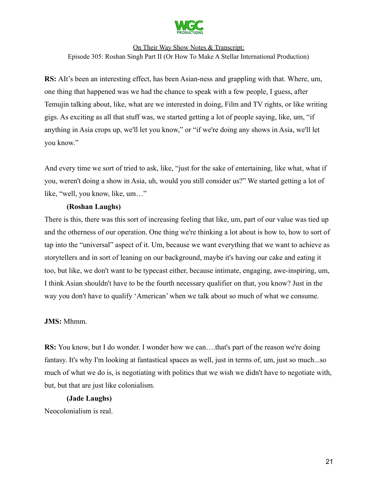

**RS:** AIt's been an interesting effect, has been Asian-ness and grappling with that. Where, um, one thing that happened was we had the chance to speak with a few people, I guess, after Temujin talking about, like, what are we interested in doing, Film and TV rights, or like writing gigs. As exciting as all that stuff was, we started getting a lot of people saying, like, um, "if anything in Asia crops up, we'll let you know," or "if we're doing any shows in Asia, we'll let you know."

And every time we sort of tried to ask, like, "just for the sake of entertaining, like what, what if you, weren't doing a show in Asia, uh, would you still consider us?" We started getting a lot of like, "well, you know, like, um…"

#### **(Roshan Laughs)**

There is this, there was this sort of increasing feeling that like, um, part of our value was tied up and the otherness of our operation. One thing we're thinking a lot about is how to, how to sort of tap into the "universal" aspect of it. Um, because we want everything that we want to achieve as storytellers and in sort of leaning on our background, maybe it's having our cake and eating it too, but like, we don't want to be typecast either, because intimate, engaging, awe-inspiring, um, I think Asian shouldn't have to be the fourth necessary qualifier on that, you know? Just in the way you don't have to qualify 'American' when we talk about so much of what we consume.

#### **JMS:** Mhmm.

**RS:** You know, but I do wonder. I wonder how we can....that's part of the reason we're doing fantasy. It's why I'm looking at fantastical spaces as well, just in terms of, um, just so much...so much of what we do is, is negotiating with politics that we wish we didn't have to negotiate with, but, but that are just like colonialism.

#### **(Jade Laughs)**

Neocolonialism is real.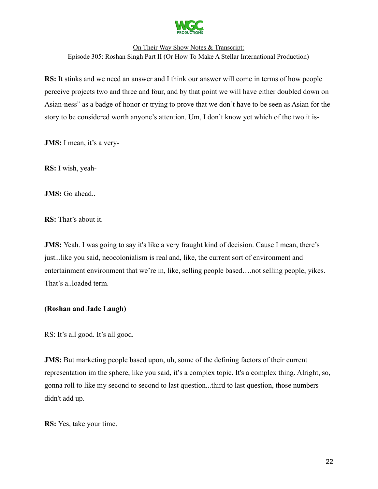

**RS:** It stinks and we need an answer and I think our answer will come in terms of how people perceive projects two and three and four, and by that point we will have either doubled down on Asian-ness" as a badge of honor or trying to prove that we don't have to be seen as Asian for the story to be considered worth anyone's attention. Um, I don't know yet which of the two it is-

**JMS:** I mean, it's a very-

**RS:** I wish, yeah-

**JMS:** Go ahead..

**RS:** That's about it.

**JMS:** Yeah. I was going to say it's like a very fraught kind of decision. Cause I mean, there's just...like you said, neocolonialism is real and, like, the current sort of environment and entertainment environment that we're in, like, selling people based….not selling people, yikes. That's a..loaded term.

# **(Roshan and Jade Laugh)**

RS: It's all good. It's all good.

**JMS:** But marketing people based upon, uh, some of the defining factors of their current representation im the sphere, like you said, it's a complex topic. It's a complex thing. Alright, so, gonna roll to like my second to second to last question...third to last question, those numbers didn't add up.

**RS:** Yes, take your time.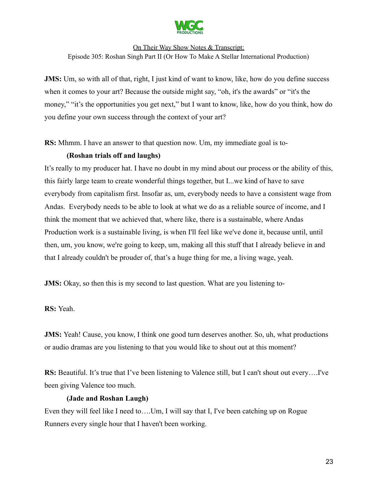

**JMS:** Um, so with all of that, right, I just kind of want to know, like, how do you define success when it comes to your art? Because the outside might say, "oh, it's the awards" or "it's the money," "it's the opportunities you get next," but I want to know, like, how do you think, how do you define your own success through the context of your art?

**RS:** Mhmm. I have an answer to that question now. Um, my immediate goal is to-

# **(Roshan trials off and laughs)**

It's really to my producer hat. I have no doubt in my mind about our process or the ability of this, this fairly large team to create wonderful things together, but I...we kind of have to save everybody from capitalism first. Insofar as, um, everybody needs to have a consistent wage from Andas. Everybody needs to be able to look at what we do as a reliable source of income, and I think the moment that we achieved that, where like, there is a sustainable, where Andas Production work is a sustainable living, is when I'll feel like we've done it, because until, until then, um, you know, we're going to keep, um, making all this stuff that I already believe in and that I already couldn't be prouder of, that's a huge thing for me, a living wage, yeah.

**JMS:** Okay, so then this is my second to last question. What are you listening to-

**RS:** Yeah.

**JMS:** Yeah! Cause, you know, I think one good turn deserves another. So, uh, what productions or audio dramas are you listening to that you would like to shout out at this moment?

**RS:** Beautiful. It's true that I've been listening to Valence still, but I can't shout out every….I've been giving Valence too much.

#### **(Jade and Roshan Laugh)**

Even they will feel like I need to….Um, I will say that I, I've been catching up on Rogue Runners every single hour that I haven't been working.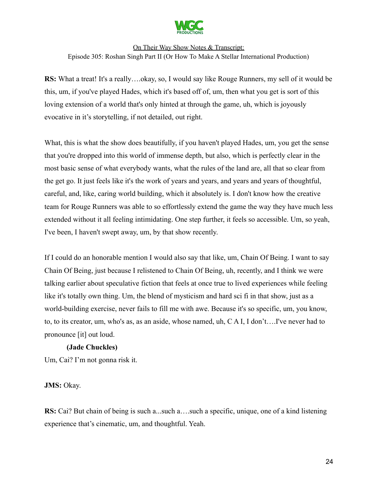

**RS:** What a treat! It's a really….okay, so, I would say like Rouge Runners, my sell of it would be this, um, if you've played Hades, which it's based off of, um, then what you get is sort of this loving extension of a world that's only hinted at through the game, uh, which is joyously evocative in it's storytelling, if not detailed, out right.

What, this is what the show does beautifully, if you haven't played Hades, um, you get the sense that you're dropped into this world of immense depth, but also, which is perfectly clear in the most basic sense of what everybody wants, what the rules of the land are, all that so clear from the get go. It just feels like it's the work of years and years, and years and years of thoughtful, careful, and, like, caring world building, which it absolutely is. I don't know how the creative team for Rouge Runners was able to so effortlessly extend the game the way they have much less extended without it all feeling intimidating. One step further, it feels so accessible. Um, so yeah, I've been, I haven't swept away, um, by that show recently.

If I could do an honorable mention I would also say that like, um, Chain Of Being. I want to say Chain Of Being, just because I relistened to Chain Of Being, uh, recently, and I think we were talking earlier about speculative fiction that feels at once true to lived experiences while feeling like it's totally own thing. Um, the blend of mysticism and hard sci fi in that show, just as a world-building exercise, never fails to fill me with awe. Because it's so specific, um, you know, to, to its creator, um, who's as, as an aside, whose named, uh, C A I, I don't….I've never had to pronounce [it] out loud.

#### **(Jade Chuckles)**

Um, Cai? I'm not gonna risk it.

# **JMS:** Okay.

**RS:** Cai? But chain of being is such a...such a...such a specific, unique, one of a kind listening experience that's cinematic, um, and thoughtful. Yeah.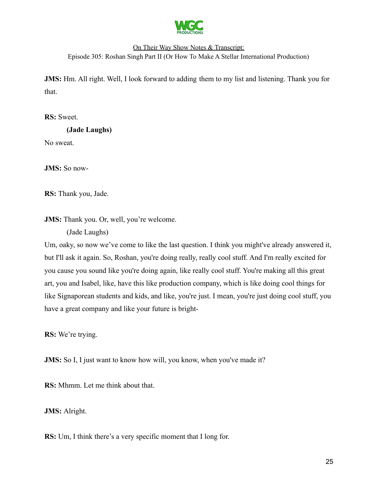

**JMS:** Hm. All right. Well, I look forward to adding them to my list and listening. Thank you for that.

**RS:** Sweet.

**(Jade Laughs)** No sweat.

**JMS:** So now-

**RS:** Thank you, Jade.

**JMS:** Thank you. Or, well, you're welcome.

(Jade Laughs)

Um, oaky, so now we've come to like the last question. I think you might've already answered it, but I'll ask it again. So, Roshan, you're doing really, really cool stuff. And I'm really excited for you cause you sound like you're doing again, like really cool stuff. You're making all this great art, you and Isabel, like, have this like production company, which is like doing cool things for like Signaporean students and kids, and like, you're just. I mean, you're just doing cool stuff, you have a great company and like your future is bright-

**RS:** We're trying.

**JMS:** So I, I just want to know how will, you know, when you've made it?

**RS:** Mhmm. Let me think about that.

**JMS:** Alright.

**RS:** Um, I think there's a very specific moment that I long for.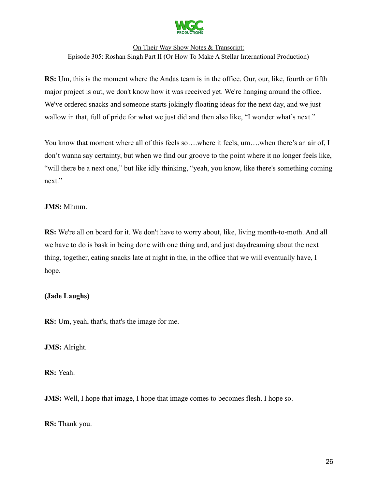

**RS:** Um, this is the moment where the Andas team is in the office. Our, our, like, fourth or fifth major project is out, we don't know how it was received yet. We're hanging around the office. We've ordered snacks and someone starts jokingly floating ideas for the next day, and we just wallow in that, full of pride for what we just did and then also like, "I wonder what's next."

You know that moment where all of this feels so....where it feels, um....when there's an air of, I don't wanna say certainty, but when we find our groove to the point where it no longer feels like, "will there be a next one," but like idly thinking, "yeah, you know, like there's something coming next."

# **JMS:** Mhmm.

**RS:** We're all on board for it. We don't have to worry about, like, living month-to-moth. And all we have to do is bask in being done with one thing and, and just daydreaming about the next thing, together, eating snacks late at night in the, in the office that we will eventually have, I hope.

# **(Jade Laughs)**

**RS:** Um, yeah, that's, that's the image for me.

#### **JMS:** Alright.

**RS:** Yeah.

**JMS:** Well, I hope that image, I hope that image comes to becomes flesh. I hope so.

**RS:** Thank you.